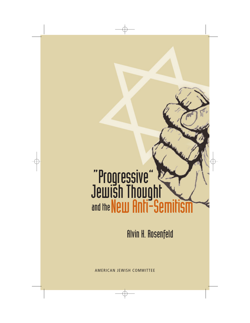# "Progressive" Jewish Thought

Alvin H. Rosenfeld

AMERICAN JEWISH COMMITTEE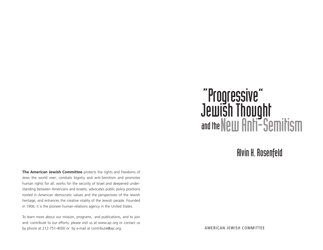Alvin H. Rosenfeld

**The American Jewish Committee** protects the rights and freedoms of Jews the world over; combats bigotry and anti-Semitism and promotes human rights for all; works for the security of Israel and deepened understanding between Americans and Israelis; advocates public policy positions rooted in American democratic values and the perspectives of the Jewish heritage; and enhances the creative vitality of the Jewish people. Founded in 1906, it is the pioneer human-relations agency in the United States.

To learn more about our mission, programs, and publications, and to join and contribute to our efforts, please visit us at www.ajc.org or contact us by phone at 212-751-4000 or by e-mail at contribute@ajc.org.

AMERICAN JEWISH COMMITTEE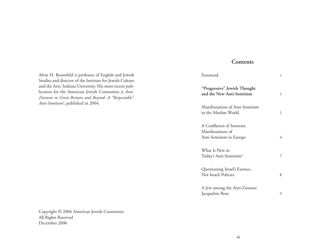# **Contents**

| Foreword                                                                   | v |
|----------------------------------------------------------------------------|---|
| "Progressive" Jewish Thought<br>and the New Anti-Semitism                  | 1 |
| Manifestations of Anti-Semitism<br>in the Muslim World                     | 1 |
| A Conflation of Interests:<br>Manifestations of<br>Anti-Semitism in Europe | 4 |
| What Is New in<br>Today's Anti-Semitism?                                   | 7 |
| Questioning Israel's Essence,<br>Not Israeli Policies                      | 8 |
| A Jew among the Anti-Zionists:<br>Jacqueline Rose                          | 9 |

Alvin H. Rosenfeld is professor of English and Jewish Studies and director of the Institute for Jewish Culture and the Arts, Indiana University. His most recent publication for the American Jewish Committee is *Anti-Zionism in Great Britain and Beyond: A "Respectable" Anti-Semitism?*, published in 2004.

Copyright © 2006 American Jewish Committee All Rights Reserved December 2006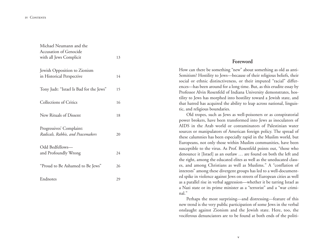| Michael Neumann and the<br>Accusation of Genocide<br>with all Jews Complicit | 13 |                                                               |
|------------------------------------------------------------------------------|----|---------------------------------------------------------------|
| Jewish Opposition to Zionism<br>in Historical Perspective                    | 14 | How can<br>Semitism?<br>social or                             |
| Tony Judt: "Israel Is Bad for the Jews"                                      | 15 | ences-ha<br>Professor.                                        |
| <b>Collections of Critics</b>                                                | 16 | tility to Je<br>that hatre<br>tic, and re                     |
| New Rituals of Dissent                                                       | 18 | Old t                                                         |
| Progressives' Complaint:<br>Radicals, Rabbis, and Peacemakers                | 20 | power bro<br>AIDS in<br>sources or<br>these calu<br>Europeans |
| Odd Bedfellows-<br>and Profoundly Wrong                                      | 24 | susceptible<br>denounce                                       |
| "Proud to Be Ashamed to Be Jews"                                             | 26 | the right,<br>es, and an<br>interests"                        |
| Endnotes                                                                     | 29 | ed spike in<br>as a parall                                    |

**Foreword**

there be something "new" about something as old as anti-Hostility to Jews—because of their religious beliefs, their ethnic distinctiveness, or their imputed "racial" differis been around for a long time. But, as this erudite essay by Alvin Rosenfeld of Indiana University demonstrates, hostws has morphed into hostility toward a Jewish state, and d has acquired the ability to leap across national, linguiseligious boundaries.

cropes, such as Jews as well-poisoners or as conspiratorial pokers, have been transformed into Jews as inoculators of the Arab world or contaminators of Palestinian water manipulators of American foreign policy. The spread of mnies has been especially rapid in the Muslim world, but s, not only those within Muslim communities, have been le to the virus. As Prof. Rosenfeld points out, "those who it [Israel] as an outlaw ... are found on both the left and among the educated elites as well as the uneducated classmong Christians as well as Muslims." A "conflation of among these divergent groups has led to a well-documentn violence against Jews on streets of European cities as well el rise in verbal aggression—whether it be tarring Israel as a Nazi state or its prime minister as a "terrorist" and a "war criminal."

Perhaps the most surprising—and distressing—feature of this new trend is the very public participation of some Jews in the verbal onslaught against Zionism and the Jewish state. Here, too, the vociferous denunciators are to be found at both ends of the politi-

**v**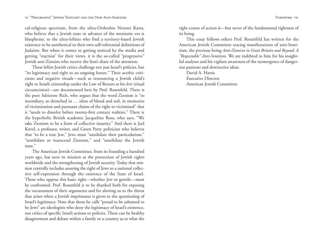cal-religious spectrum, from the ultra-Orthodox Neturei Karta, who believe that a Jewish state in advance of the messianic era is blasphemy, to the ultra-leftists who find a territory-based Jewish existence to be antithetical to their own self-referential definitions of Judaism. But when it comes to getting noticed by the media and getting "traction" for their views, it is the so-called "progressive" Jewish anti-Zionists who receive the lion's share of the attention.

These leftist Jewish critics challenge not just Israel's policies, but "its legitimacy and right to an ongoing future." Their acerbic criticisms and negative rituals—such as renouncing a Jewish child's right to Israeli citizenship under the Law of Return at his *bris* (ritual circumcision)—are documented here by Prof. Rosenfeld. There is the poet Adrienne Rich, who argues that the word Zionism is "so incendiary, so drenched in … ideas of blood and soil, in memories of victimization and pursuant claims of the right to victimized" that it "needs to dissolve before twenty-first century realities." There is the hyperbolic British academic Jacqueline Rose, who says, "We take Zionism to be a form of collective insanity." And there is Joel Kovel, a professor, writer, and Green Party politician who believes that "to be a true Jew," Jews must "annihilate their particularism," "annihilate or transcend Zionism," and "annihilate the Jewish state."

The American Jewish Committee, from its founding a hundred years ago, has seen its mission as the protection of Jewish rights worldwide and the strengthening of Jewish security. Today that mission centrally includes assuring the right of Jews to a national collective self-expression through the existence of the State of Israel. Those who oppose this basic right—whether Jew or gentile—must be confronted. Prof. Rosenfeld is to be thanked both for exposing the vacuousness of their arguments and for alerting us to the threat that arises when a Jewish imprimatur is given to the questioning of Israel's legitimacy. Note that those he calls "proud to be ashamed to be Jews" are ideologists who deny the legitimacy of Israel's existence, not critics of specific Israeli actions or policies. There can be healthy disagreement and debate within a family or a country as to what the

right course of action is—but never of the fundamental rightness of its being.

This essay follows others Prof. Rosenfeld has written for the American Jewish Committee tracing manifestations of anti-Semitism, the previous being *Anti-Zionism in Great Britain and Beyond: A "Respectable" Anti-Semitism*. We are indebted to him for his insightful analyses and his vigilant awareness of the reemergence of dangerous passions and destructive ideas.

David A. Harris Executive Director American Jewish Committee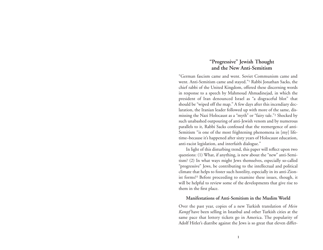"German fascism came and went. Soviet Communism came and went. Anti-Semitism came and stayed."1 Rabbi Jonathan Sacks, the chief rabbi of the United Kingdom, offered these discerning words in response to a speech by Mahmoud Ahmadinejad, in which the president of Iran denounced Israel as "a disgraceful blot" that should be "wiped off the map." A few days after this incendiary declaration, the Iranian leader followed up with more of the same, dismissing the Nazi Holocaust as a "myth" or "fairy tale."2 Shocked by such unabashed outpouring of anti-Jewish venom and by numerous parallels to it, Rabbi Sacks confessed that the reemergence of anti-Semitism "is one of the most frightening phenomena in [my] lifetime–because it's happened after sixty years of Holocaust education, anti-racist legislation, and interfaith dialogue."

In light of this disturbing trend, this paper will reflect upon two questions: (1) What, if anything, is new about the "new" anti-Semitism? (2) In what ways might Jews themselves, especially so-called "progressive" Jews, be contributing to the intellectual and political climate that helps to foster such hostility, especially in its anti-Zionist forms?3 Before proceeding to examine these issues, though, it will be helpful to review some of the developments that give rise to them in the first place.

#### **Manifestations of Anti-Semitism in the Muslim World**

Over the past year, copies of a new Turkish translation of *Mein Kampf* have been selling in Istanbul and other Turkish cities at the same pace that lottery tickets go in America. The popularity of Adolf Hitler's diatribe against the Jews is so great that eleven differ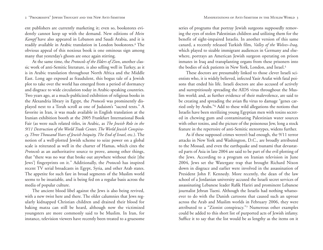ent publishers are currently marketing it; even so, bookstores evidently cannot keep up with the demand. New editions of *Mein Kampf* have also appeared in Lebanon and Saudi Arabia, and it is readily available in Arabic translation in London bookstores.4 The obvious appeal of this noxious book is one ominous sign among many that yesterday's ghosts are once again stirring.

At the same time, the *Protocols of the Elders of Zion*, another classic work of anti-Semitic literature, is also selling well in Turkey, as it is in Arabic translation throughout North Africa and the Middle East. Long ago exposed as fraudulent, this bogus tale of a Jewish plot to take over the world has emerged from a period of dormancy and disgrace to wide circulation today in Arabic-speaking countries. Two years ago, at a much-publicized exhibition of religious books in the Alexandria library in Egypt, the *Protocols* was prominently displayed next to a Torah scroll as one of Judaism's "sacred texts." A favorite in Iran, it was made available in English translation at the Iranian exhibition booth at the 2005 Frankfurt International Book Fair (as were such related titles, in Arabic, as *The Jewish Role in the 9/11 Destruction of the World Trade Center, The World Jewish Conspiracy, Three Thousand Years of Jewish Iniquity, The End of Israel*, etc.). The notion of a well-plotted Jewish scheme to seize power on a global scale is reiterated as well in the charter of Hamas, which cites the *Protocols* as an authoritative source to prove, among other things, that "there was no war that broke out anywhere without their [the Jews'] fingerprints on it." Additionally, the *Protocols* has inspired recent TV serial broadcasts in Egypt, Syria, and other Arab states. The appetite for such fare in broad segments of the Muslim world seems to be insatiable, and is being fed on a regular basis across the media of popular culture.

The ancient blood libel against the Jews is also being revived, with a new twist here and there. The older calumnies that Jews regularly kidnapped Christian children and drained their blood for baking matza can still be heard, although now the victimized youngsters are more commonly said to be Muslim. In Iran, for instance, television viewers have recently been treated to a gruesome series of programs that portray Jewish surgeons supposedly removing the eyes of stolen Palestinian children and utilizing them for the

benefit of sight-impaired Israelis. In another version of this same canard, a recently released Turkish film, *Valley of the Wolves–Iraq*, which played to sizable immigrant audiences in Germany and elsewhere, portrays an American Jewish surgeon operating on prison inmates in Iraq and transplanting organs from these prisoners into the bodies of sick patients in New York, London, and Israel.5

These doctors are presumably linked to those clever Israeli scientists who, it is widely believed, infected Yasir Arafat with fatal poisons that ended his life. Israeli doctors are also accused of actively and surreptitiously spreading the AIDS virus throughout the Muslim world; and, as further evidence of their malevolence, are said to be creating and spreading the avian flu virus to damage "genes carried only by Arabs."6 Add to these wild allegations the notions that Israelis have been sterilizing young Egyptian men with toxins secreted in chewing gum and contaminating Palestinian water sources with other toxins, and the picture of the poisonous Jew, long a stock feature in the repertoire of anti-Semitic stereotypes, widens further.

As if these supposed crimes weren't bad enough, the 9/11 terror attacks in New York and Washington, D.C., are broadly attributed to the Mossad, and even the earthquake and tsunami that devastated parts of Asia in late 2004 are said to be part of the evil plotting of the Jews. According to a program on Iranian television in June 2004, Jews set the Watergate trap that brought Richard Nixon down in disgrace and earlier were involved in the assassination of President John F. Kennedy. More recently, the dean of the law school of a Jordanian university accused the Israeli secret services of assassinating Lebanese leader Rafik Hariri and prominent Lebanese journalist Jebran Tueni. Although the Israelis had nothing whatsoever to do with the Danish cartoons that caused such an uproar across the Arab and Muslim worlds in February 2006, they were attributed to a "Zionist conspiracy."7 Numerous other examples could be added to this short list of purported acts of Jewish infamy. Suffice it to say that the list would be as lengthy as the items on it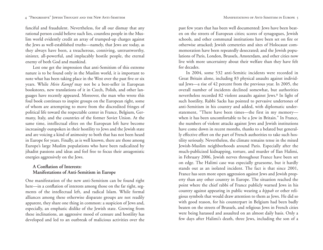enemy of both God and mankind.

fanciful and fraudulent. Nevertheless, for all our dismay that any rational person could believe such lies, countless people in the Muslim world evidently credit an array of trumped-up charges against the Jews as well-established truths—namely, that Jews are today, as they always have been, a treacherous, conniving, untrustworthy, sinister, all-powerful, and implacably hostile people, the eternal

Lest one get the impression that anti-Semitism of this extreme nature is to be found only in the Muslim world, it is important to note what has been taking place in the West over the past five or six years. While *Mein Kampf* may not be a best-seller in European bookstores, new translations of it in Czech, Polish, and other languages have recently appeared. Moreover, the man who wrote this foul book continues to inspire groups on the European right, some of whom are attempting to move from the discredited fringes of political life toward the respectable center in France, Belgium, Germany, Italy, and the countries of the former Soviet Union. At the same time, intellectual elites on the European left have become increasingly outspoken in their hostility to Jews and the Jewish state and are voicing a kind of animosity to both that has not been heard in Europe for years. Finally, as is well known, there are those among Europe's large Muslim populations who have been radicalized by jihadist passions and ideas and feel free to focus their antagonistic energies aggressively on the Jews.

# **A Conflation of Interests: Manifestations of Anti-Semitism in Europe**

One manifestation of the new anti-Semitism can be found right here—in a conflation of interests among those on the far right, segments of the intellectual left, and radical Islam. While formal alliances among these otherwise disparate groups are not readily apparent, they share one thing in common: a suspicion of Jews and, especially, an emphatic dislike of the Jewish state. Growing from these inclinations, an aggressive mood of censure and hostility has developed and led to an outbreak of malicious activities over the

past few years that has been well documented: Jews have been beaten on the streets of European cities; scores of synagogues, Jewish schools, and other communal institutions have been set on fire or otherwise attacked; Jewish cemeteries and sites of Holocaust commemoration have been repeatedly desecrated; and the Jewish populations of Paris, London, Brussels, Amsterdam, and other cities now live with more uncertainty about their welfare than they have felt for decades.

In 2004, some 532 anti-Semitic incidents were recorded in Great Britain alone, including 83 physical assaults against individual Jews—a rise of 42 percent from the previous year. In 2005, the overall number of incidents declined somewhat, but authorities nevertheless recorded 82 violent assaults against Jews.8 In light of such hostility, Rabbi Sacks has pointed to pervasive undertones of anti-Semitism in his country and added, with diplomatic understatement, "There have been times—the first in my memory when it has been uncomfortable to be a Jew in Britain." In France, the numbers of violent attacks against Jews and Jewish institutions have come down in recent months, thanks to a belated but generally effective effort on the part of French authorities to take such hostility seriously. Nevertheless, the climate remains tense in the mixed Jewish-Muslim neighborhoods around Paris. Especially after the much-publicized kidnapping, torture, and murder of Ilan Halimi, in February 2006, Jewish nerves throughout France have been set on edge. The Halimi case was especially gruesome, but it hardly stands out as an isolated incident. The fact is that since 2001, France has seen more open aggression against Jews and Jewish property than any other country in Europe. The situation reached the point where the chief rabbi of France publicly warned Jews in his country against appearing in public wearing a *kippah* or other religious symbols that would draw attention to them as Jews. He did so with good reason, for his counterpart in Belgium had been badly beaten on the streets of Brussels, and religious Jews in French cities were being harassed and assaulted on an almost daily basis. Only a few days after Halimi's death, three Jews, including the son of a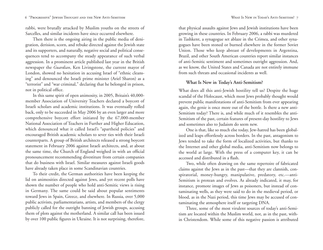rabbi, were brutally attacked by Muslim youths on the streets of Sarcelles, and similar incidents have since occurred elsewhere.

Then there is the ongoing airing in the public media of denigration, derision, scorn, and rebuke directed against the Jewish state and its supporters, and naturally, negative social and political consequences tend to accompany the steady appearance of such verbal aggression. In a prominent article published last year in the British newspaper the *Guardian*, Ken Livingstone, the current mayor of London, showed no hesitation in accusing Israel of "ethnic cleansing" and denounced the Israeli prime minister (Ariel Sharon) as a "terrorist" and "war criminal," declaring that he belonged in prison, not in political office.

In this same spirit of open animosity, in 2005, Britain's 40,000 member Association of University Teachers declared a boycott of Israeli scholars and academic institutions. It was eventually rolled back, only to be succeeded in May 2006 by an even larger and more comprehensive boycott effort initiated by the 67,000-member National Association of Teachers in Further and Higher Education, which denounced what it called Israel's "apartheid policies" and encouraged British academic scholars to sever ties with their Israeli counterparts. A group of British architects released a strong boycott statement in February 2006 against Israeli architects, and, at about the same time, the Church of England weighed in with an official pronouncement recommending divestiture from certain companies that do business with Israel. Similar measures against Israeli goods have already taken place in some Scandinavian countries.

To their credit, the German authorities have been keeping the lid on animosities directed against Jews, and yet recent polls have shown the number of people who hold anti-Semitic views is rising in Germany. The same could be said about popular sentiments toward Jews in Spain, Greece, and elsewhere. In Russia, over 5,000 public activists, parliamentarians, artists, and members of the clergy publicly called for the outright banning of Jewish groups, accusing them of plots against the motherland. A similar call has been issued by over 100 public figures in Ukraine. It is not surprising, therefore,

that physical assaults against Jews and Jewish institutions have been growing in these countries. In February 2006, a rabbi was murdered in Tashkent, a synagogue set ablaze in the Crimea, and other synagogues have been stoned or burned elsewhere in the former Soviet Union. Those who keep abreast of developments in Argentina, Brazil, and other South American countries report similar instances of anti-Semitic sentiment and sometimes outright aggression. And, as we know, the United States and Canada are not entirely immune from such threats and occasional incidents as well.

### **What Is New in Today's Anti-Semitism?**

What does all this anti-Jewish hostility tell us? Despite the huge scandal of the Holocaust, which most Jews probably thought would prevent public manifestations of anti-Semitism from ever appearing again, the genie is once more out of the bottle. Is there a new anti-Semitism today? There is, and while much of it resembles the anti-Semitism of the past, certain features of present-day hostility to Jews and sometimes also to Judaism do seem new.

One is that, like so much else today, Jew-hatred has been globalized and leaps effortlessly across borders. In the past, antagonism to Jews tended to take the form of localized activities, but thanks to the Internet and other global media, anti-Semitism now belongs to the world at large. With the press of a computer key, it can be accessed and distributed in a flash.

Two, while often drawing on the same repertoire of fabricated claims against the Jews as in the past—that they are clannish, conspiratorial, money-hungry, manipulative, predatory, etc.—anti-Semitism is protean and evolves. As already indicated, it may, for instance, promote images of Jews as poisoners, but instead of contaminating wells, as they were said to do in the medieval period, or blood, as in the Nazi period, this time Jews may be accused of contaminating the atmosphere itself or targeting DNA.

Three, some of the most virulent sources of today's anti-Semitism are located within the Muslim world, not, as in the past, within Christendom. While some of this negative passion is attributed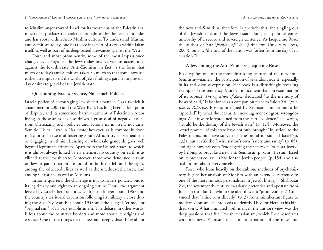to Muslim anger toward Israel for its treatment of the Palestinians, much of it predates the violence brought on by the recent intifadas and has roots within Arab Muslim culture. To understand Muslim anti-Semitism today, one has to see it as part of a crisis within Islam itself, as well as part of its deep-seated grievances against the West.

Four, and most prominently, some of the most impassioned charges leveled against the Jews today involve vicious accusations against the Jewish state. Anti-Zionism, in fact, is the form that much of today's anti-Semitism takes, so much so that some now see earlier attempts to rid the world of Jews finding a parallel in presentday desires to get rid of the Jewish state.

### **Questioning Israel's Essence, Not Israeli Policies**

Israel's policy of encouraging Jewish settlement in Gaza (which it abandoned in 2005) and the West Bank has long been a flash point of dispute, and its sometimes harsh treatment of Palestinian Arabs living in those areas has also drawn a great deal of negative attention. Criticizing such policies and actions is, in itself, not anti-Semitic. To call Israel a Nazi state, however, as is commonly done today, or to accuse it of fostering South African-style apartheid rule or engaging in ethnic cleansing or wholesale genocide goes well beyond legitimate criticism. Apart from the United States, to which it is almost always linked by its enemies, no country on earth is as vilified as the Jewish state. Moreover, those who denounce it as an outlaw or pariah nation are found on both the left and the right, among the educated elites as well as the uneducated classes, and among Christians as well as Muslims.

In some quarters, the challenge is not to Israel's policies, but to its legitimacy and right to an ongoing future. Thus, the argument leveled by Israel's fiercest critics is often no longer about 1967 and the country's territorial expansion following its military victory during the Six-Day War, but about 1948 and the alleged "crime," or "original sin," of its very establishment. The debate, in other words, is less about the country's borders and more about its origins and essence. One of the things that is new and deeply disturbing about

the new anti-Semitism, therefore, is precisely this: the singling out of the Jewish state, and the Jewish state alone, as a political entity unworthy of a secure and sovereign existence. As Jacqueline Rose, the author of *The Question of Zion* (Princeton University Press, 2005), puts it, "the soul of the nation was forfeit from the day of its creation."9

#### **A Jew among the Anti-Zionists: Jacqueline Rose**

Rose typifies one of the most distressing features of the new anti-Semitism—namely, the participation of Jews alongside it, especially in its anti-Zionist expression. Her book is a disturbingly revealing example of this tendency. More an indictment than an examination of its subject, *The Question of Zion*, dedicated "to the memory of Edward Said," is fashioned as a companion piece to Said's *The Question of Palestine*. Rose is intrigued by Zionism, but claims to be "appalled" by what she sees as its encouragement of gross wrongdoings. As if it were foreordained from the start, "violence," she writes, "would be the destiny of the Jewish state" (p. 124). Moreover, the "cruel powers" of this state have not only brought "injustice" to the Palestinians, but have subverted "the moral mission of Israel"(p. 133), put at risk the Jewish nation's own "safety and sanity" (p. 85), and right now are even "endangering the safety of Diaspora Jewry" by helping to provoke a new anti-Semitism (p. xviii). In sum, Israel on its present course "is bad for the Jewish people" (p. 154) and also bad for just about everyone else.

Rose, who leans heavily on the dubious methods of psychohistory, begins her analysis of Zionism with an extended reference to one of the most ruinous personalities in Jewish history—Shabbatai Zvi, the seventeenth-century messianic pretender and apostate from Judaism (to Islam)—whom she identifies as a "proto-Zionist." Convinced that "a line runs directly" (p. 3) from this aberrant figure to modern Zionism, she proceeds to identify Theodor Herzl as his kindred spirit. What animated both men, in the author's view, was the deep passions that fuel Jewish messianism, which Rose associates with madness. Zionism, the latest incarnation of the messianic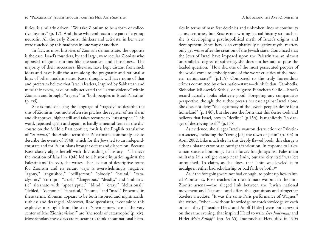furies, is similarly driven: "We take Zionism to be a form of collective insanity" (p. 17). And those who embrace it are part of a group neurosis. All the early Zionist thinkers and activists, in her view, were touched by this madness in one way or another.

In fact, as most histories of Zionism demonstrate, the opposite is the case. Israel's founders, by and large, were secular Zionists who opposed religious notions like messianism and chosenness. The majority of their successors, likewise, have kept distant from such ideas and have built the state along the pragmatic and rationalist lines of other modern states. Rose, though, will have none of that and prefers to believe that Israel's leaders, inspired by Sabbatean and messianic excess, have brutally activated the "latent violence" within Zionism and brought "tragedy" to "both peoples in Israel-Palestine" (p. xvi).

She is fond of using the language of "tragedy" to describe the sins of Zionism, but more often she pitches the register of her alarm and disapproval higher still and takes recourse to "catastrophe." This word, repeated again and again, is hardly a neutral term in the discourse on the Middle East conflict, for it is the English translation of "*al nakba*," the Arabic term that Palestinians commonly use to describe the events of 1948, which for the Jews led to an independent state and for Palestinians brought defeat and dispersion. Because Rose closely aligns herself with this reading of history—"I believe the creation of Israel in 1948 led to a historic injustice against the Palestinians" (p. xvi), she writes—her lexicon of descriptive terms for Zionism and its errant ways is overwhelmingly negative: "agony," "anguished," "belligerent," "bloody," "brutal," "cataclysmic," "corrupt," "cruel," "dangerous," "deadly," and "militaristic" alternate with "apocalyptic," "blind," "crazy," "delusional," "defiled," "demonic," "fanatical," "insane," and "mad." Presented in these terms, Zionism appears to be both inspired and nightmarish, ruthless and deranged. Moreover, Rose speculates, it contained this explosive mix right from the start: "sown somewhere at the very center of [the Zionist vision]" are "the seeds of catastrophe"(p. xiv). Most scholars these days are reluctant to think about national histo-

ries in terms of manifest destinies and unbroken lines of continuity across centuries, but Rose is not writing factual history so much as she is developing a psychopolitical myth of Israel's origins and development. Since hers is an emphatically negative myth, matters only get worse after the creation of the Jewish state. Convinced that the Jews of Israel have imposed upon the Palestinians an almost unparalleled degree of suffering, she does not hesitate to pose the loaded question: "How did one of the most persecuted peoples of the world come to embody some of the worst cruelties of the modern nation-state?" (p.115) Compared to the truly horrendous crimes committed by other nation-states—think Sudan, Cambodia, Slobodan Milosevic's Serbia, or Augusto Pinochet's Chile—Israel's record actually looks relatively good. Foregoing any comparative perspective, though, the author presses her case against Israel alone. She does not deny "the legitimacy of the Jewish people's desire for a homeland" (p. 146), but she rues the form that this desire took and believes that Israel, now in "decline" (p.154), is manifestly "in danger of destroying itself" (p.155).

As evidence, she alleges Israel's wanton destruction of Palestinian society, including the "razing [of] the town of Jenin" (p.103) in April 2002. Like much else in this deeply flawed book, this charge is either a blatant error or an outright fabrication. In response to Palestinian suicide bombings, Israeli forces fought against Palestinian militants in a refugee camp near Jenin, but the city itself was left untouched. To claim, as she does, that Jenin was leveled is to indulge in either bad scholarship or bad faith or both.10

As if the foregoing were not bad enough, to point up how tainted Zionism is, Rose reaches for the ultimate weapon in the anti-Zionist arsenal—the alleged link between the Jewish national movement and Nazism—and offers this gratuitous and altogether baseless anecdote: "It was the same Paris performance of Wagner," she writes, "when—without knowledge or foreknowledge of each other—they [Theodor Herzl and Adolf Hitler] were both present on the same evening, that inspired Herzl to write *Der Judenstaat* and Hitler *Mein Kampf*" (pp. 64-65). Inasmuch as Herzl died in 1904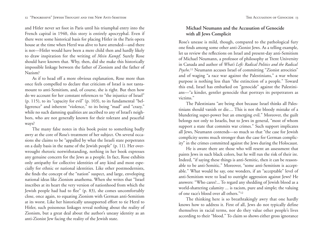and Hitler never set foot in Paris until his triumphal entry into the French capital in 1940, this story is entirely apocryphal. Even if there were some historical basis for placing Hitler in the Paris opera house at the time when Herzl was alive to have attended—and there is not—Hitler would have been a mere child then and hardly likely to draw inspiration for the writing of *Mein Kampf*. Surely Rose should have known that. Why, then, did she make this historically impossible linkage between the father of Zionism and the father of Nazism?

As if to head off a more obvious explanation, Rose more than once feels compelled to declare that criticism of Israel is not tantamount to anti-Semitism, and, of course, she is right. But then how do we account for her constant references to "the injustice of Israel" (p. 115), to its "capacity for evil" (p. 103), to its fundamental "belligerence" and inherent "violence," to its being "mad" and "crazy," while no such damning qualities are ascribed to any of Israel's neighbors, who are not generally known for their tolerant and peaceful ways?

The many false notes in this book point to something badly awry at the core of Rose's treatment of her subject. On several occasions she claims to be "appalled by what the Israeli state perpetrates on a daily basis in the name of the Jewish people" (p. 11). Her overwrought rhetoric notwithstanding, nothing in her book expresses any genuine concern for the Jews as a people. In fact, Rose exhibits only antipathy for collective identities of any kind and most especially for ethnic or national identities. Like other postmodernists, she finds the concept of the "nation" suspect, and large, enveloping national ideas like Zionism anathema. When she writes that "Israel inscribes at its heart the very version of nationhood from which the Jewish people had had to flee" (p. 83), she comes uncomfortably close, once again, to equating Zionism with German anti-Semitism at its worst. Like her historically unsupported effort to tie Herzl to Hitler, such poisonous linkages reveal nothing about the reality of Zionism, but a great deal about the author's uneasy identity as an anti-Zionist Jew facing the reality of the Jewish state.

# **Michael Neumann and the Accusation of Genocide with all Jews Complicit**

Rose's unease is mild, though, compared to the pathological fury one finds among some other anti-Zionist Jews. As a telling example, let us review the reflections on Israel and present-day anti-Semitism of Michael Neumann, a professor of philosophy at Trent University in Canada and author of *What's Left: Radical Politics and the Radical Psyche*.11 Neumann accuses Israel of committing "Zionist atrocities" and of waging "a race war against the Palestinians," a war whose purpose is nothing less than "the extinction of a people." Toward this end, Israel has embarked on "genocide" against the Palestinians—"a kinder, gentler genocide that portrays its perpetrators as victims."

The Palestinians "are being shot because Israel thinks all Palestinians should vanish or die.... This is not the bloody mistake of a blundering super-power but an emerging evil." Moreover, the guilt belongs not only to Israelis, but to Jews in general, "most of whom support a state that commits war crimes." Such support implicates all Jews, Neumann contends—so much so that "the case for Jewish complicity seems much stronger than the case for German complicity" in the crimes committed against the Jews during the Holocaust.

He is aware there are those who will resent an assessment that paints Jews in such black colors, but he will run the risk of their ire. Indeed, "if saying these things is anti-Semitic, then it can be reasonable to be anti-Semitic." Moreover, "some anti-Semitism is acceptable." What would he say, one wonders, if an "acceptable" level of anti-Semitism were to lead to outright aggression against Jews? He answers: "Who cares?... To regard any shedding of Jewish blood as a world-shattering calamity ... is racism, pure and simple; the valuing of one race's blood over all others."12

The thinking here is so breathtakingly awry that one hardly knows how to address it. First of all, Jews do not typically define themselves in racial terms, nor do they value other people's lives according to their "blood." To claim so shows either gross ignorance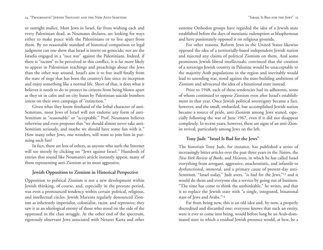or outright malice. Most Jews in Israel, far from wishing each and every Palestinian dead, as Neumann declares, are looking for ways either to make peace with the Palestinians or to live apart from them. By no reasonable standard of historical comparison or legal judgment can one show that Israel is intent on genocide; nor are the Israelis engaged in a "race war" against the Palestinians. Indeed, if there is "racism" to be perceived in this conflict, it is far more likely to appear in Palestinian teachings and preachings about the Jews than the other way around. Israel's aim is to free itself finally from the state of siege that has been the country's fate since its inception and enjoy something like a normal life. Short of that, it does what it believes it needs to do to protect its citizens from being blown apart as they sit in cafes and on city buses by Palestinian suicide bombers intent on their own campaign of "extinction."

Given what they know firsthand of the lethal character of anti-Semitism, most Jews of Israel will not endorse any form of anti-Semitism as "reasonable" or "acceptable." Prof. Neumann believes otherwise and even proposes that "we should almost never take anti-Semitism seriously, and maybe we should have some fun with it." How many other Jews, one wonders, will want to join him in pursuing such fun?

In fact, there are lots of others, as anyone who surfs the Internet will see merely by clicking on "Jews against Israel." Hundreds of entries that sound like Neumann's article instantly appear, many of them representing anti-Zionism at its most aggressive.

### **Jewish Opposition to Zionism in Historical Perspective**

Opposition to political Zionism is not a new development within Jewish thinking, of course, and, especially in the prestate period, was even a pronounced tendency within certain political, religious, and intellectual circles. Jewish Marxists regularly denounced Zionism as inherently imperialist, colonialist, racist, and repressive; they saw it as an ideological enemy of those who stood on the side of the oppressed in the class struggle. At the other end of the spectrum, rigorously observant Jews associated with Neturei Karta and other

extreme Orthodox groups have regarded the idea of a Jewish state established before the days of messianic redemption as blasphemous and have passionately opposed it on religious grounds.

For other reasons, Reform Jews in the United States likewise opposed the idea of a territorially-based independent Jewish nation and rejected any claims of political Zionism on them. And some prominent Jewish liberal intellectuals, convinced that the creation of a sovereign Jewish country in Palestine would be unacceptable to the majority Arab populations in the region and inevitably would lead to unending war, stood against the state-building ambitions of Zionism and advocated the idea of a binational state instead.

Prior to 1948, each of these tendencies had its adherents, some of whom continued to oppose Zionism even after Israel's establishment in that year. Once Jewish political sovereignty became a fact, however, and the small, embattled, but accomplished Jewish nation became a source of pride, anti-Zionism among Jews waned, especially following the war of June 1967, even if it did not disappear completely. In recent years, however, there are signs of an anti-Zionist revival, particularly among Jews on the left.

### **Tony Judt: "Israel Is Bad for the Jews"**

The historian Tony Judt, for instance, has published a series of increasingly bitter articles over the past three years in the *Nation*, the *New York Review of Books*, and *Ha'aretz*, in which he has called Israel everything from arrogant, aggressive, anachronistic, and infantile to dysfunctional, immoral, and a primary cause of present-day anti-Semitism. "Israel today," Judt avers, "is bad for the Jews,"13 and it would do them and everyone else a service by going out of business. "The time has come to think the unthinkable," he writes, and that is to replace the Jewish state with "a single, integrated, binational state of Jews and Arabs."14

Far from being new, this is an old idea and, by now, a properly discredited and discarded one; everyone knows that such an entity, were it ever to come into being, would before long be an Arab-dominated state in which a residual Jewish presence would, at best, be a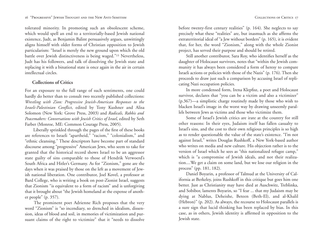tolerated minority. In promoting such an obsolescent scheme, which would spell an end to a territorially-based Jewish national existence, Judt, as Benjamin Balint persuasively argues, unwittingly aligns himself with older forms of Christian opposition to Jewish particularism: "Israel is merely the new ground upon which the old battle over Jewish distinctiveness is being waged."15 Nevertheless, Judt has his followers, and talk of dissolving the Jewish state and replacing it with a binational state is once again in the air in certain intellectual circles.

#### **Collections of Critics**

For an exposure to the full range of such sentiments, one could hardly do better than to consult two recently published collections: *Wrestling with Zion: Progressive Jewish-American Responses to the Israeli-Palestinian Conflict*, edited by Tony Kushner and Alisa Solomon (New York: Grove Press, 2003) and *Radicals, Rabbis and Peacemakers: Conversations with Jewish Critics of Israel*, edited by Seth Farber (Monroe, ME: Common Courage Press, 2005).

Liberally sprinkled through the pages of the first of these books are references to Israeli "apartheid," "racism," "colonialism," and "ethnic cleansing." These descriptors have become part of standard discourse among "progressive" American Jews, who seem to take for granted that the historical record shows Israel to be an aggressor state guilty of sins comparable to those of Hendrik Verwoerd's South Africa and Hitler's Germany. As for "Zionism," gone are the days when it was praised by those on the left as a movement of Jewish national liberation. One contributor, Joel Kovel, a professor at Bard College, who is writing a book on post-Zionist Israel, suggests that Zionism "is equivalent to a form of racism" and is unforgiving that it brought about "the Jewish homeland at the expense of another people" (p. 357).

The prominent poet Adrienne Rich proposes that the very word "Zionism" is "so incendiary, so drenched in idealism, dissension, ideas of blood and soil, in memories of victimization and pursuant claims of the right to victimize" that it "needs to dissolve before twenty-first century realities" (p. 164). She neglects to say precisely what these "realities" are, but inasmuch as she affirms the extraterritorial ideal of "a Jew without borders" (p. 165), it is evident that, for her, the word "Zionism," along with the whole Zionist project, has served their purpose and should be retired.

Still another contributor, Sara Roy, who identifies herself as the daughter of Holocaust survivors, notes that "within the Jewish community it has always been considered a form of heresy to compare Israeli actions or policies with those of the Nazis" (p. 176). Then she proceeds to draw just such a comparison by accusing Israel of replicating Nazi occupation policies.

In more condensed form, Irena Klepfisz, a poet and Holocaust survivor, declares that "you can be a victim and also a victimizer" (p.367)—a simplistic charge routinely made by those who wish to blacken Israel's image in the worst way by drawing unseemly parallels between Jews as victims and those who victimize them.

Some of Israel's Jewish critics are irate at the country for still other reasons: In their eyes, Judaism itself has fallen casualty to Israel's sins, and the cost to their own religious principles is so high as to render questionable the value of the state's existence. "I'm not against Israel," writes Douglas Rushkoff, a New York-based author who writes on media and new culture. His objection rather is to the version of Israel which he sees as "this nationalized refugee camp," which is "a compromise of Jewish ideals, and not their realization....We get a claim on some land, but we lose our religion in the process" (pp. 181, 182).

Daniel Boyarin, a professor of Talmud at the University of California at Berkeley, joins Rushkoff in this critique but goes him one better. Just as Christianity may have died at Auschwitz, Treblinka, and Sobibor, laments Boyarin, so "I fear ... that my Judaism may be dying at Nablus, Deheishe, Beteen (Beth-El), and al-Khalil (Hebron)" (p. 202). As always, the recourse to Holocaust parallels is a sure sign that lucid thinking has been replaced by bias. In this case, as in others, Jewish identity is affirmed in opposition to the Jewish state.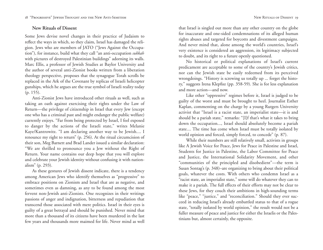#### New Rituals of Dissent 19

#### **New Rituals of Dissent**

Some Jews devise novel changes in their practice of Judaism to reflect the ways in which, so they claim, Israel has damaged the religion. Jews who are members of JATO ("Jews Against the Occupation"), for instance, build what they call "an anti-occupation *sukkah* with pictures of destroyed Palestinian buildings" adorning its walls. Marc Ellis, a professor of Jewish Studies at Baylor University and the author of several anti-Zionist books written from a liberation theology perspective, proposes that the synagogue Torah scrolls be replaced in the Ark of the Covenant by replicas of Israeli helicopter gunships, which he argues are the true symbol of Israeli reality today (p. 155).

Anti-Zionist Jews have introduced other rituals as well, such as taking an oath against exercising their rights under the Law of Return—the privilege of citizenship in Israel that every Jew (except one who has a criminal past and might endanger the public welfare) currently enjoys. "Far from being protected by Israel, I feel exposed to danger by the actions of the Israeli state," writes Melanie Kaye/Kantrowitz. "I am declaring another way to be Jewish.... I renounce my right to return" (p. 256). At the ritual circumcision of their son, Meg Barnett and Brad Lander issued a similar declaration: "We are thrilled to pronounce you a Jew without the Right of Return. Your name contains our deep hope that you will explore and celebrate your Jewish identity without confusing it with nationalism" (p. 293).

As these gestures of Jewish dissent indicate, there is a tendency among American Jews who identify themselves as "progressive" to embrace positions on Zionism and Israel that are as negative, and sometimes even as damning, as any to be found among the most fervent non-Jewish anti-Zionists. One recognizes in their writings passions of anger and indignation, bitterness and repudiation that transcend those associated with mere politics. Israel in their eyes is guilty of a great betrayal and should be punished. Never mind that more than a thousand of its citizens have been murdered in the last few years and thousands more maimed for life. Never mind as well

that Israel is singled out more than any other country on the globe for inaccurate and one-sided condemnations of its alleged human rights abuses and targeted for boycotts and divestment campaigns. And never mind that, alone among the world's countries, Israel's very existence is considered an aggression, its legitimacy subjected to doubt, and its right to a future openly questioned.

No historical or political explanations of Israel's current predicament are acceptable to some of the country's Jewish critics, nor can the Jewish state be easily redeemed from its perceived wrongdoings. "History is screwing us totally up ... forget the history," suggests Irena Klepfisz (pp. 358-59). She is for less explanation and more action—and now.

Like other "oppressive" regimes before it, Israel is judged to be guilty of the worst and must be brought to heel. Journalist Esther Kaplan, commenting on the charge by a young Rutgers University activist that "Israel is a racist state, an imperialist state—it is and should be a pariah state," remarks: "[I]f that's what it takes to bring down the occupation..., Israel should absolutely become a pariah state.... The time has come when Israel must be totally isolated by world opinion and forced, simply forced, to concede" (p. 87).

While their numbers are still relatively small, activists in groups like A Jewish Voice for Peace, Jews for Peace in Palestine and Israel, Students for Justice in Palestine, the Labor Committee for Peace and Justice, the International Solidarity Movement, and other "communities of the principled and disobedient"—the term is Susan Sontag's (p. 348)–are organizing to bring about their political goals, whatever the costs. With others who condemn Israel as a "racist state, an imperialist state," some will do whatever they can to make it a pariah. The full effects of their efforts may not be clear to these Jews, for they couch their ambitions in high-sounding terms like "peace," "justice," and "reconciliation." Should they ever succeed in reducing Israel's already embattled status to that of a rogue state, "totally isolated by world opinion," the result would not be a fuller measure of peace and justice for either the Israelis or the Palestinians but, almost certainly, the opposite.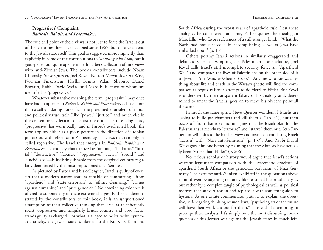# **Progressives' Complaint:** *Radicals, Rabbis, and Peacemakers*

The true end point of these views is not just to force the Israelis out of the territories they have occupied since 1967, but to force an end to the Jewish state itself. This goal is suggested more implicitly than explicitly in some of the contributions to *Wrestling with Zion*, but it gets spelled out quite openly in Seth Farber's collection of interviews with anti-Zionist Jews. The book's contributors include Noam Chomsky, Steve Quester, Joel Kovel, Norton Mezvinsky, Ora Wise, Norman Finkelstein, Phyllis Bennis, Adam Shapiro, Daniel Boyarin, Rabbi David Weiss, and Marc Ellis, most of whom are identified as "progressive."

Whatever substantive meaning the term "progressive" may once have had, it appears in *Radicals, Rabbis and Peacemakers* as little more than a self-validating honorific—the presumed equivalent of moral and political virtue itself. Like "peace," "justice," and much else in the contemporary lexicon of leftist rhetoric at its most dogmatic, "progressive" has worn badly; and in Farber's overheated book, the term appears either as a pious gesture in the direction of utopian politics or, with reference to Zionism, signals views that can only be called regressive. The Israel that emerges in *Radicals, Rabbis and Peacemakers*—a country characterized as "amoral," "barbaric," "brutal," "destructive," "fascistic," "oppressive," "racist," "sordid," and "uncivilized"—is indistinguishable from the despised country regularly denounced by the most impassioned anti-Semites.

As pictured by Farber and his colleagues, Israel is guilty of every sin that a modern nation-state is capable of committing—from "apartheid" and "state terrorism" to "ethnic cleansing," "crimes against humanity," and "pure genocide." No convincing evidence is offered to support any of these extreme charges. Rather, as demonstrated by the contributors to this book, it is an unquestioned assumption of their collective thinking that Israel is an inherently racist, oppressive, and singularly brutal country and, ipso facto, stands guilty as charged. For what is alleged to be its racist, systematic cruelty, the Jewish state is likened to the Ku Klux Klan and

South Africa during the worst years of apartheid rule. Lest these analogies be considered too tame, Farber quotes the theologian Marc Ellis, who favors references of a still stronger kind: "'What the Nazis had not succeeded in accomplishing ... we as Jews have embarked upon" (p. 15).

Others portray Israeli actions in similarly exaggerated and defamatory terms. Adopting the Palestinian nomenclature, Joel Kovel calls Israel's still incomplete security fence an "Apartheid Wall" and compares the lives of Palestinians on the other side of it to Jews in "the Warsaw Ghetto" (p. 67). Anyone who knows anything about life and death in the Warsaw ghetto will find the comparison as bogus as Rose's attempt to tie Herzl to Hitler. But Kovel is undeterred by the transparent falsity of his analogy and, determined to smear the Israelis, goes on to make his obscene point all the same.

In much the same spirit, Steve Quester wonders if Israelis are "going to build gas chambers and kill them all" (p. 41), but then backs off from that idea and imagines that the Israeli plan for the Palestinians is merely to "terrorize" and "starve" them out. Seth Farber himself holds to the harsher view and insists on conflating Israeli "racism" with "Nazi anti-Semitism" (p. 137). And Rabbi David Weiss goes him one better by claiming that the Zionists have actually been "worse than Hitler" (p. 206).

No serious scholar of history would argue that Israel's actions warrant legitimate comparison with the systematic cruelties of apartheid South Africa or the genocidal barbarism of Nazi Germany. The extreme anti-Zionism exhibited in the quotations above is not driven by anything remotely like reasoned historical analysis, but rather by a complex tangle of psychological as well as political motives that subvert reason and replace it with something akin to hysteria. As one astute commentator puts it, to explain the obsessive, self-negating thinking of such Jews, "psychologists of the future will have their work cut out for them."<sup>16</sup> Instead of attempting to preempt these analysts, let's simply note the most disturbing consequences of this Jewish war against the Jewish state: In much left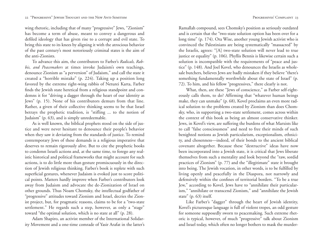wing rhetoric, including that of many "progressive" Jews, "Zionism" has become a term of abuse, meant to convey a dangerous and defiled ideology that has given rise to a corrupt and evil state. To bring this state to its knees by aligning it with the atrocious behavior of the past century's most notoriously criminal states is the aim of the anti-Zionists.

To advance this aim, the contributors to Farber's *Radicals, Rabbis, and Peacemakers* at times invoke Judaism's own teachings, denounce Zionism as "a perversion" of Judaism," and call the state it created a "horrible mistake" (p. 224). Taking up a position long favored by the extreme right-wing rabbis of Neturei Karta, Farber finds the Jewish state heretical from a religious standpoint and condemns it for "driving a dagger through the heart of our identity as Jews" (p. 15). None of his contributors demurs from that line. Rather, a given of their collective thinking seems to be that Israel betrays the prophetic tradition, is "stifling ... to the notion of Judaism" (p. 63), and is simply unredeemable.

As is well known, the biblical prophets stood on the side of justice and were never hesitant to denounce their people's behavior when they saw it deviating from the standards of justice. To remind contemporary Jews of these demands is a religious imperative that deserves to remain rigorously alive. But to cite the prophetic books to condemn Israeli actions and, at the same time, to forego any realistic historical and political frameworks that might account for such actions, is to do little more than gesture promiscuously in the direction of Jewish religious thinking. Farber's book is replete with such superficial gestures, whenever Judaism is evoked just to score political points. Matters hardly improve when Farber's contributors look away from Judaism and advocate the de-Zionization of Israel on other grounds. Thus Noam Chomsky, the intellectual godfather of "progressive" attitudes toward Zionism and Israel, decries the Zionist project, but, for pragmatic reasons, claims to be for a "two-state settlement." He regards such a step, however, as only a "stage" toward "the optimal solution, which is no state at all" (p. 28).

Adam Shapiro, an activist member of the International Solidarity Movement and a one-time comrade of Yasir Arafat in the latter's

Ramallah compound, sees Chomsky's position as seriously outdated and is certain that the "two-state solution option has been over for a long time" (p. 174). Ora Wise, another young Jewish activist who is convinced the Palestinians are being systematically "massacred" by the Israelis, agrees: "[A] two-state solution will never lead to true justice or equality" (p. 106). Phyllis Bennis is likewise certain such a solution is incompatible with the requirements of "peace and justice" (p. 148). And Joel Kovel, who denounces the Israelis as wholesale butchers, believes Jews are badly mistaken if they believe "there's something fundamentally worthwhile about the state of Israel" (p. 72). To him, and his fellow "progressives," there clearly is not.

What, then, are these "Jews of conscience," as Farber self-righteously calls them, to do? Affirming that "whatever human beings make, they can unmake" (p. 68), Kovel proclaims an even more radical solution to the problems created by Zionism than does Chomsky, who, in supporting a two-state settlement, comes across within the context of this book as being an almost conservative thinker. Jews, in Kovel's view, are suffering the burdens of what Marxists like to call "false consciousness" and need to free their minds of such benighted notions as Jewish particularism, exceptionalism, ethnicity, and chosenness—indeed, of their bonds to the ancient biblical covenant altogether. Because these "destructive" ideas have now been incorporated into a Jewish state, it is critical that Jews liberate themselves from such a mentality and look beyond the "raw, sordid practices of Zionism" (p. 77) and the "illegitimate" state it brought into being. The Jewish vocation, in other words, is to be fulfilled by living openly and peacefully in the Diaspora, not narrowly and defensively within the confines of territorial borders. "To be a true Jew," according to Kovel, Jews have to "annihilate their particularism," "annihilate or transcend Zionism," and "annihilate the Jewish state" (p. 63) itself.

Like Farber's "dagger" through the heart of Jewish identity, Kovel's picturesque language is full of violent tropes, an odd gesture for someone supposedly sworn to peacemaking. Such extreme rhetoric is typical, however, of much "progressive" talk about Zionism and Israel today, which often no longer bothers to mask the murder-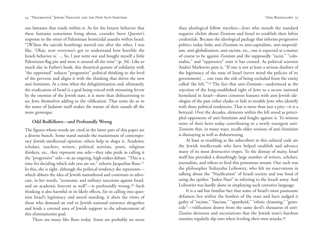ous fantasies that reside within it. As for the bizarre behavior that these fantasies sometimes bring about, consider Steve Quester's response to the onset of Palestinian homicidal assaults within Israel: "[W]hen the suicide bombings started one after the other, I was like, 'Okay, now everyone's got to understand how horrible the Israeli behavior is.' ... So, I just went out and bought myself a little Palestinian flag pin and wore it around all the time" (p. 34). Like so much else in Farber's book, this theatrical gesture of solidarity with "the oppressed" reduces "progressive" political thinking to the level of the perverse and aligns it with the thinking that drives the new anti-Semitism. At a time when the delegitimization and, ultimately, the eradication of Israel is a goal being voiced with mounting fervor by the enemies of the Jewish state, it is more than disheartening to see Jews themselves adding to the vilification. That some do so in the name of Judaism itself makes the nature of their assault all the more grotesque.

#### **Odd Bedfellows—and Profoundly Wrong**

The figures whose words are cited in the latter part of this paper are a diverse bunch. Some stand outside the mainstream of contemporary Jewish intellectual opinion; others help to shape it. Academic scholars, teachers, writers, political activists, poets, religious thinkers, etc., they represent one side—they take pride in calling it the "progressive" side—in an ongoing, high-stakes debate. "This is a time for deciding which side you are on," exhorts Jacqueline Rose.<sup>17</sup> In this, she is right, although the political tendency she represents which abhors the idea of Jewish nationhood and continues to advocate, in her words, "economic and military sanctions against Israel, and an academic boycott as well"—is profoundly wrong.18 Such thinking is also harmful in its likely effects, for in calling into question Israel's legitimacy and moral standing, it abets the views of those who demand an end to Jewish national existence altogether and lends a coveted aura of Jewish support to the advancement of this eliminationist goal.

There are many like Rose today. Some are probably no more

than ideological fellow travelers—Jews who mouth the standard negative clichés about Zionism and Israel to establish their leftist credentials. Because the ideological package that informs progressive politics today links anti-Zionism to anti-capitalism, anti-imperialism, anti-globalization, anti-racism, etc., one is expected as a matter of course to be against Zionism and the supposedly "racist," "colonialist," and "oppressive" state it has created. As political scientist Andrei Markovits puts it, "If one is not at least a serious doubter of the legitimacy of the state of Israel (never mind the policies of its government) ... one runs the risk of being excluded from the entity called 'the left.'"19 The fact that anti-Zionism—understood as the rejection of the long-established right of Jews to a secure national homeland in Israel—shares common features with anti-Jewish ideologies of the past either eludes or fails to trouble Jews who identify with these political tendencies. That is more than just a pity—it is a betrayal. Over the decades, elements within the left stood as principled opponents of anti-Semitism and fought against it. To witness some of their heirs today contributing to a newly resurgent anti-Zionism that, in many ways, recalls older versions of anti-Semitism is dismaying as well as disheartening.

At least as troubling as the subscribers to this cultural code are the Jewish intellectuals who have helped establish and advance many of its most destructive tropes. To the dismay of many, Israel itself has provided a disturbingly large number of writers, scholars, journalists, and others to feed this poisonous stream. One such was the philosopher Yeshayahu Leibowitz, who felt no reservations in talking about the "Nazification" of Israeli society and was fond of using the epithet "Judeo-Nazi" in referring to the Israeli army. And Leibowitz was hardly alone in employing such corrosive language.

It is a sad but familiar fact that some of Israel's most passionate defamers live within the borders of the state and have judged it guilty of "racism," "fascism," "apartheid," "ethnic cleansing," "genocide"—vilification drawn from the same devil's thesaurus of anti-Zionist derisions and excoriations that the Jewish state's harshest enemies regularly dip into when leveling their own attacks.20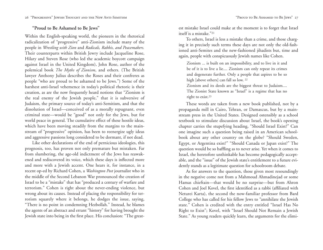#### **"Proud to Be Ashamed to Be Jews"**

Within the English-speaking world, the pioneers in the rhetorical radicalization of "progressive" anti-Zionism include many of the people in *Wrestling with Zion* and *Radicals, Rabbis, and Peacemakers.* Their counterparts within British Jewry include Jacqueline Rose, Hilary and Steven Rose (who led the academic boycott campaign against Israel in the United Kingdom), John Rose, author of the polemical book *The Myths of Zionism*, and others. (The British lawyer Anthony Julius describes the Roses and their confreres as people "who are proud to be ashamed to be Jews.") Some of the harshest anti-Israel vehemence in today's political rhetoric is their creation, as are the now frequently heard notions that "Zionism is the real enemy of the Jewish people," that it is subversive of Judaism, the primary source of today's anti-Semitism, and that the dissolution of Israel—conceived of as a morally repugnant, even criminal state—would be "good" not only for the Jews, but for world peace in general. The cumulative effect of these hostile ideas, which have been moving steadily from the margins to the mainstream of "progressive" opinion, has been to reenergize ugly ideas and aggressive passions long considered to be dormant, if not dead.

Like other declarations of the end of pernicious ideologies, this prognosis, too, has proven not only premature but mistaken. Far from slumbering, the age-old indictment of the Jews has reawakened and rediscovered its voice, which these days is inflected more and more with a Jewish accent. One hears it, for instance, in a recent op-ed by Richard Cohen, a *Washington Post* journalist who in the middle of the Second Lebanon War pronounced the creation of Israel to be a "mistake" that has "produced a century of warfare and terrorism." Cohen is right about the never-ending violence, but wrong about its causes. Instead of placing the responsibility for terrorism squarely where it belongs, he dodges the issue, saying, "There is no point in condemning Hezbollah." Instead, he blames the agents of an abstract and errant "history" for having brought the Jewish state into being in the first place. His conclusion: "The greatest mistake Israel could make at the moment is to forget that Israel itself is a mistake."21

To others, Israel is less a mistake than a crime, and those charging it in precisely such terms these days are not only the old-fashioned anti-Semites and the new-fashioned jihadists but, time and again, people with conspicuously Jewish names like Cohen.

Zionism ... is built on an impossibility, and to live in it and be of it is to live a lie.... Zionism can only repeat its crimes and degenerate further. Only a people that aspires to be so high [above others] can fall so low. 22

Zionism and its deeds are the biggest threat to Judaism.... The Zionist State known as "Israel" is a regime that has no right to exist.23

These words are taken from a new book published, not by a propaganda mill in Cairo, Tehran, or Damascus, but by a mainstream press in the United States. Designed ostensibly as a school textbook to stimulate discussion about Israel, the book's opening chapter carries the stupefying heading, "Should Israel Exist?" Can one imagine such a question being raised in an American schoolbook about any other country on the globe? "Should Sweden, Egypt, or Argentina exist?" "Should Canada or Japan exist?" The question would be so baffling as to never arise. Yet when it comes to Israel, the heretofore unthinkable has become pedagogically acceptable, and the "issue" of the Jewish state's entitlement to a future evidently stands as a legitimate question for schoolroom debate.

As for answers to the question, those given most resoundingly in the negative come not from a Mahmoud Ahmadinejad or some Hamas chieftain—that would be no surprise—but from Ahron Cohen and Joel Kovel, the first identified as a rabbi (affiliated with Neturei Karta), the second the now-familiar professor from Bard College who has called for his fellow Jews to "annihilate the Jewish state." Cohen is credited with the entry entitled "Israel Has No Right to Exist"; Kovel, with "Israel Should Not Remain a Jewish State." As young readers quickly learn, the arguments for the elimi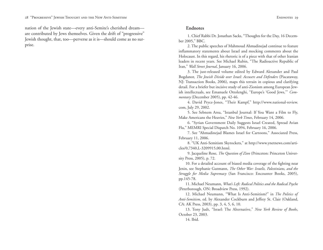nation of the Jewish state—every anti-Semite's cherished dream are contributed by Jews themselves. Given the drift of "progressive" Jewish thought, that, too—perverse as it is—should come as no surprise.

#### **Endnotes**

1. Chief Rabbi Dr. Jonathan Sacks, "Thoughts for the Day, 16 December 2005," BBC.

2. The public speeches of Mahmoud Ahmadinejad continue to feature inflammatory statements about Israel and mocking comments about the Holocaust. In this regard, his rhetoric is of a piece with that of other Iranian leaders in recent years. See Michael Rubin, "The Radioactive Republic of Iran," *Wall Street Journal*, January 16, 2006.

3. The just-released volume edited by Edward Alexander and Paul Bogdanor, *The Jewish Divide over Israel: Accusers and Defenders* (Piscataway, NJ: Transaction Books, 2006), maps this terrain in copious and clarifying detail. For a briefer but incisive study of anti-Zionism among European Jewish intellectuals, see Emanuele Ottolenghi, "Europe's 'Good Jews,'" *Commentary* (December 2005), pp. 42-46.

4. David Pryce-Jones, "Their Kampf," http://www.national-review. com, July 29, 2002.

5. See Sebnem Arsu, "Istanbul Journal: If You Want a Film to Fly, Make Americans the Heavies," *New York Times*, February 14, 2006.

6. "Syrian Government Daily Suggests Israel Created, Spread Avian Flu," MEMRI Special Dispatch No. 1094, February 16, 2006.

7. See "Ahmadinejad Blames Israel for Cartoons," Associated Press, February 11, 2006.

8. "UK Anti-Semitism Skyrockets," at http://www.ynetnews.com/articles/0,7340,L-3209915,00.html.

9. Jacqueline Rose, *The Question of Zion* (Princeton: Princeton University Press, 2005), p. 72.

10. For a detailed account of biased media coverage of the fighting near Jenin, see Stephanie Gutmann, *The Other War: Israelis, Palestinians, and the Struggle for Media Supremacy* (San Francisco: Encounter Books, 2005), pp.145-78.

11. Michael Neumann, *What's Left: Radical Politics and the Radical Psyche* (Peterborough, ON: Broadview Press, 1992).

12. Michael Neumann, "What Is Anti-Semitism?" in *The Politics of Anti-Semitism*, ed. by Alexander Cockburn and Jeffrey St. Clair (Oakland, CA: AK Press, 2003), pp. 3, 4, 5, 6, 10.

13. Tony Judt, "Israel: The Alternative," *New York Review of Books*, October 23, 2003.

14. Ibid.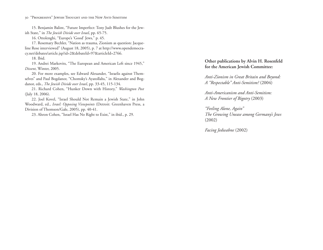15. Benjamin Balint, "Future Imperfect: Tony Judt Blushes for the Jewish State," in *The Jewish Divide over Israel*, pp. 65-75.

16. Ottolenghi, "Europe's 'Good' Jews," p. 45.

17. Rosemary Bechler, "Nation as trauma, Zionism as question: Jacqueline Rose interviewed" (August 18, 2005), p. 7 at http://www.opendemocracy.net/debates/article.jsp?id=2&debateId=97&articleId=2766.

18. Ibid.

19. Andrei Markovits, "The European and American Left since 1945," *Dissent*, Winter, 2005.

20. For more examples, see Edward Alexander, "Israelis against Themselves" and Paul Bogdanor, "Chomsky's Ayatollahs," in Alexander and Bogdanor, eds., *The Jewish Divide over Israel*, pp. 33-45, 115-134.

21. Richar d Cohen, "Hunker Down with History," *Washington Post* (July 18, 2006).

22. Joel Kovel, "Israel Should Not Remain a Jewish State," in John Woodward, ed., *Israel: Opposing Viewpoints* (Detroit: G reenhaven Press, a Division of Thomson/Gale, 2005), pp. 40-41.

23. Ahron Cohen, "Israel Has No Right to Exist," in ibid., p. 29.

**Other publications by Alvin H. Rosenfeld for the American Jewish Committee:**

*Anti-Zionism in Great Britain and Beyond: A "Respectable" Anti-Semitism?* (2004)

*Anti-Americanism and Anti-Semitism: A New Frontier of Bigotry* (2003)

*"Feeling Alone, Again" The Growing Unease among Germany's Jews* (2002)

*Facing Jedwabne* (2002)